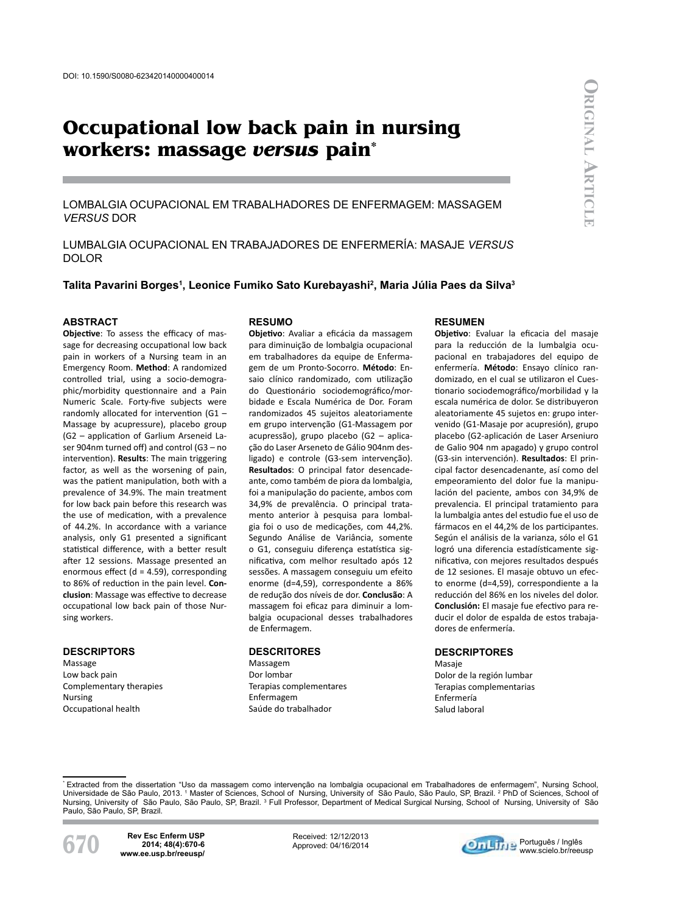# **Occupational low back pain in nursing workers: massage** *versus* **pain\***

Lombalgia ocupacional em trabalhadores de enfermagem: massagem *versus* dor

LUMBALGIA OCUPACIONAL EN TRABAJADORES DE ENFERMERÍA: MASAJE *VERSUS* DOLOR

**Talita Pavarini Borges1 , Leonice Fumiko Sato Kurebayashi2 , Maria Júlia Paes da Silva3**

#### **Abstract**

**Objective**: To assess the efficacy of massage for decreasing occupational low back pain in workers of a Nursing team in an Emergency Room. **Method**: A randomized controlled trial, using a socio-demographic/morbidity questionnaire and a Pain Numeric Scale. Forty-five subjects were randomly allocated for intervention (G1 – Massage by acupressure), placebo group (G2 – application of Garlium Arseneid Laser 904nm turned off) and control (G3 – no intervention). **Results**: The main triggering factor, as well as the worsening of pain, was the patient manipulation, both with a prevalence of 34.9%. The main treatment for low back pain before this research was the use of medication, with a prevalence of 44.2%. In accordance with a variance analysis, only G1 presented a significant statistical difference, with a better result after 12 sessions. Massage presented an enormous effect (d = 4.59), corresponding to 86% of reduction in the pain level. **Conclusion**: Massage was effective to decrease occupational low back pain of those Nursing workers.

#### **descriptors**

Massage Low back pain Complementary therapies Nursing Occupational health

#### **resumo**

**Objetivo**: Avaliar a eficácia da massagem para diminuição de lombalgia ocupacional em trabalhadores da equipe de Enfermagem de um Pronto-Socorro. **Método**: Ensaio clínico randomizado, com utilização do Questionário sociodemográfico/morbidade e Escala Numérica de Dor. Foram randomizados 45 sujeitos aleatoriamente em grupo intervenção (G1-Massagem por acupressão), grupo placebo (G2 – aplicação do Laser Arseneto de Gálio 904nm desligado) e controle (G3-sem intervenção). **Resultados**: O principal fator desencadeante, como também de piora da lombalgia, foi a manipulação do paciente, ambos com 34,9% de prevalência. O principal tratamento anterior à pesquisa para lombalgia foi o uso de medicações, com 44,2%. Segundo Análise de Variância, somente o G1, conseguiu diferença estatística significativa, com melhor resultado após 12 sessões. A massagem conseguiu um efeito enorme (d=4,59), correspondente a 86% de redução dos níveis de dor. **Conclusão**: A massagem foi eficaz para diminuir a lombalgia ocupacional desses trabalhadores de Enfermagem.

#### **descritores**

Massagem Dor lombar Terapias complementares Enfermagem Saúde do trabalhador

## **Resumen**

**Objetivo**: Evaluar la eficacia del masaje para la reducción de la lumbalgia ocupacional en trabajadores del equipo de enfermería. **Método**: Ensayo clínico randomizado, en el cual se utilizaron el Cuestionario sociodemográfico/morbilidad y la escala numérica de dolor. Se distribuyeron aleatoriamente 45 sujetos en: grupo intervenido (G1-Masaje por acupresión), grupo placebo (G2-aplicación de Laser Arseniuro de Galio 904 nm apagado) y grupo control (G3-sin intervención). **Resultados**: El principal factor desencadenante, así como del empeoramiento del dolor fue la manipulación del paciente, ambos con 34,9% de prevalencia. El principal tratamiento para la lumbalgia antes del estudio fue el uso de fármacos en el 44,2% de los participantes. Según el análisis de la varianza, sólo el G1 logró una diferencia estadísticamente significativa, con mejores resultados después de 12 sesiones. El masaje obtuvo un efecto enorme (d=4,59), correspondiente a la reducción del 86% en los niveles del dolor. **Conclusión:** El masaje fue efectivo para reducir el dolor de espalda de estos trabajadores de enfermería.

## **descriptores**

Masaje Dolor de la región lumbar Terapias complementarias Enfermería Salud laboral

\* Extracted from the dissertation "Uso da massagem como intervenção na lombalgia ocupacional em Trabalhadores de enfermagem", Nursing School, Universidade de São Paulo, 2013. 1 Master of Sciences, School of Nursing, University of São Paulo, São Paulo, SP, Brazil. 2 PhD of Sciences, School of Nursing, University of São Paulo, São Paulo, SP, Brazil. 3 Full Professor, Department of Medical Surgical Nursing, School of Nursing, University of São Paulo, São Paulo, SP, Brazil.



**670 Rev Esc Enferm USP www.ee.usp.br/reeusp/ 2014; 48(4):670-6**

Received: 12/12/2013 Approved: 04/16/2014

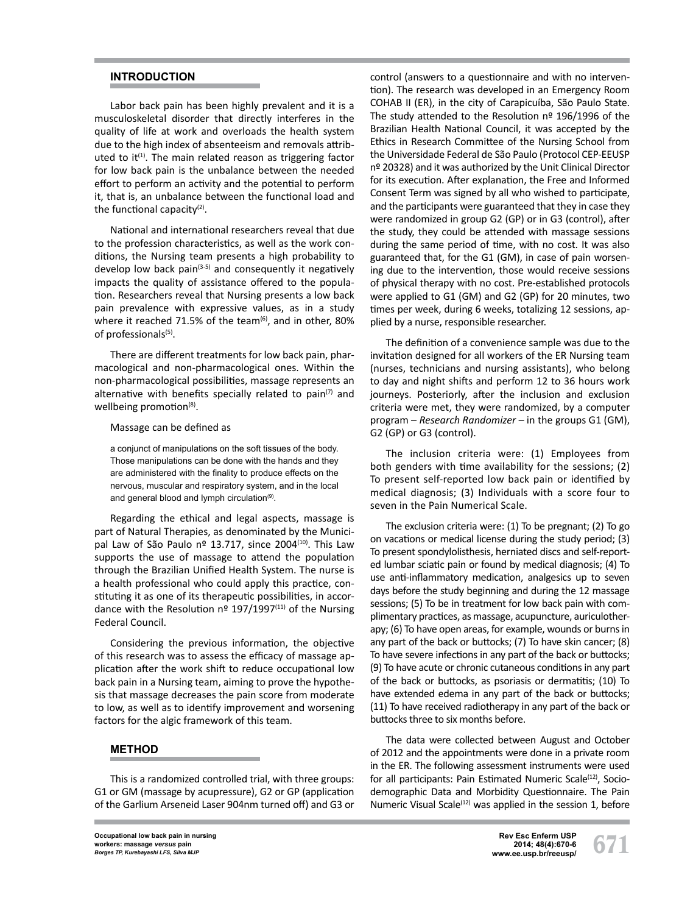# **INTRODUCTION**

Labor back pain has been highly prevalent and it is a musculoskeletal disorder that directly interferes in the quality of life at work and overloads the health system due to the high index of absenteeism and removals attributed to it<sup>(1)</sup>. The main related reason as triggering factor for low back pain is the unbalance between the needed effort to perform an activity and the potential to perform it, that is, an unbalance between the functional load and the functional capacity $(2)$ .

National and international researchers reveal that due to the profession characteristics, as well as the work conditions, the Nursing team presents a high probability to develop low back pain $(3-5)$  and consequently it negatively impacts the quality of assistance offered to the population. Researchers reveal that Nursing presents a low back pain prevalence with expressive values, as in a study where it reached 71.5% of the team $^{(6)}$ , and in other, 80% of professionals<sup>(5)</sup>.

There are different treatments for low back pain, pharmacological and non-pharmacological ones. Within the non-pharmacological possibilities, massage represents an alternative with benefits specially related to pain<sup>(7)</sup> and wellbeing promotion<sup>(8)</sup>.

### Massage can be defined as

a conjunct of manipulations on the soft tissues of the body. Those manipulations can be done with the hands and they are administered with the finality to produce effects on the nervous, muscular and respiratory system, and in the local and general blood and lymph circulation<sup>(9)</sup>.

Regarding the ethical and legal aspects, massage is part of Natural Therapies, as denominated by the Municipal Law of São Paulo nº 13.717, since 2004<sup>(10)</sup>. This Law supports the use of massage to attend the population through the Brazilian Unified Health System. The nurse is a health professional who could apply this practice, constituting it as one of its therapeutic possibilities, in accordance with the Resolution  $n^{\circ}$  197/1997<sup>(11)</sup> of the Nursing Federal Council.

Considering the previous information, the objective of this research was to assess the efficacy of massage application after the work shift to reduce occupational low back pain in a Nursing team, aiming to prove the hypothesis that massage decreases the pain score from moderate to low, as well as to identify improvement and worsening factors for the algic framework of this team.

## **METHOD**

This is a randomized controlled trial, with three groups: G1 or GM (massage by acupressure), G2 or GP (application of the Garlium Arseneid Laser 904nm turned off) and G3 or control (answers to a questionnaire and with no intervention). The research was developed in an Emergency Room COHAB II (ER), in the city of Carapicuíba, São Paulo State. The study attended to the Resolution nº 196/1996 of the Brazilian Health National Council, it was accepted by the Ethics in Research Committee of the Nursing School from the Universidade Federal de São Paulo (Protocol CEP-EEUSP nº 20328) and it was authorized by the Unit Clinical Director for its execution. After explanation, the Free and Informed Consent Term was signed by all who wished to participate, and the participants were guaranteed that they in case they were randomized in group G2 (GP) or in G3 (control), after the study, they could be attended with massage sessions during the same period of time, with no cost. It was also guaranteed that, for the G1 (GM), in case of pain worsening due to the intervention, those would receive sessions of physical therapy with no cost. Pre-established protocols were applied to G1 (GM) and G2 (GP) for 20 minutes, two times per week, during 6 weeks, totalizing 12 sessions, applied by a nurse, responsible researcher.

The definition of a convenience sample was due to the invitation designed for all workers of the ER Nursing team (nurses, technicians and nursing assistants), who belong to day and night shifts and perform 12 to 36 hours work journeys. Posteriorly, after the inclusion and exclusion criteria were met, they were randomized, by a computer program – *Research Randomizer –* in the groups G1 (GM), G2 (GP) or G3 (control).

The inclusion criteria were: (1) Employees from both genders with time availability for the sessions; (2) To present self-reported low back pain or identified by medical diagnosis; (3) Individuals with a score four to seven in the Pain Numerical Scale.

The exclusion criteria were: (1) To be pregnant; (2) To go on vacations or medical license during the study period; (3) To present spondylolisthesis, herniated discs and self-reported lumbar sciatic pain or found by medical diagnosis; (4) To use anti-inflammatory medication, analgesics up to seven days before the study beginning and during the 12 massage sessions; (5) To be in treatment for low back pain with complimentary practices, as massage, acupuncture, auriculotherapy; (6) To have open areas, for example, wounds or burns in any part of the back or buttocks; (7) To have skin cancer; (8) To have severe infections in any part of the back or buttocks; (9) To have acute or chronic cutaneous conditions in any part of the back or buttocks, as psoriasis or dermatitis; (10) To have extended edema in any part of the back or buttocks; (11) To have received radiotherapy in any part of the back or buttocks three to six months before.

The data were collected between August and October of 2012 and the appointments were done in a private room in the ER. The following assessment instruments were used for all participants: Pain Estimated Numeric Scale<sup>(12)</sup>, Sociodemographic Data and Morbidity Questionnaire. The Pain Numeric Visual Scale<sup>(12)</sup> was applied in the session 1, before

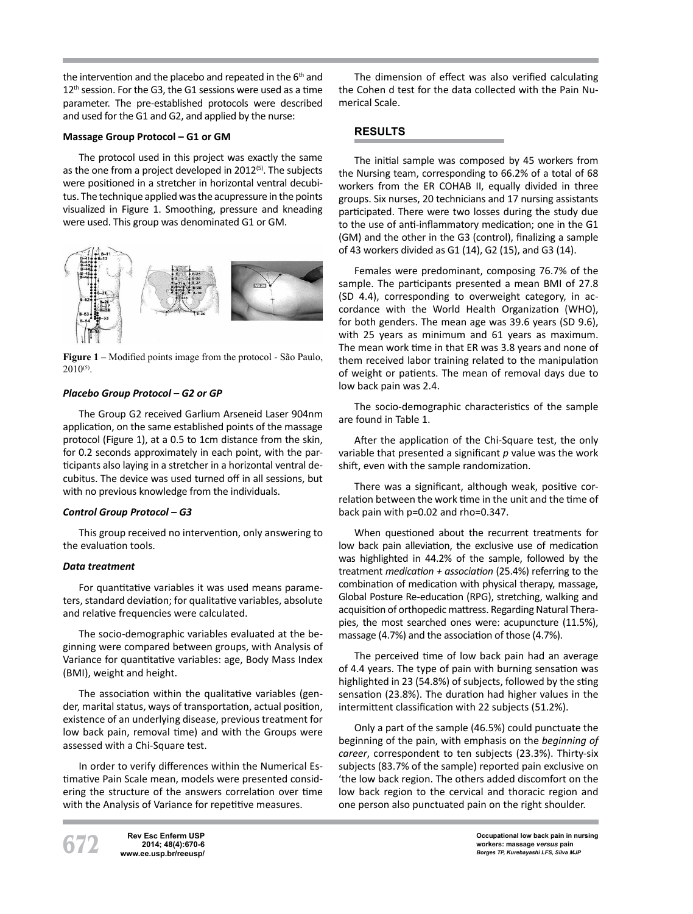the intervention and the placebo and repeated in the 6<sup>th</sup> and 12<sup>th</sup> session. For the G3, the G1 sessions were used as a time parameter. The pre-established protocols were described and used for the G1 and G2, and applied by the nurse:

## **Massage Group Protocol – G1 or GM**

The protocol used in this project was exactly the same as the one from a project developed in  $2012^{(5)}$ . The subjects were positioned in a stretcher in horizontal ventral decubitus. The technique applied was the acupressure in the points visualized in Figure 1. Smoothing, pressure and kneading were used. This group was denominated G1 or GM.



**Figure 1 –** Modified points image from the protocol - São Paulo,  $2010^{(5)}$ .

## *Placebo Group Protocol – G2 or GP*

The Group G2 received Garlium Arseneid Laser 904nm application, on the same established points of the massage protocol (Figure 1), at a 0.5 to 1cm distance from the skin, for 0.2 seconds approximately in each point, with the participants also laying in a stretcher in a horizontal ventral decubitus. The device was used turned off in all sessions, but with no previous knowledge from the individuals.

## *Control Group Protocol – G3*

This group received no intervention, only answering to the evaluation tools.

## *Data treatment*

For quantitative variables it was used means parameters, standard deviation; for qualitative variables, absolute and relative frequencies were calculated.

The socio-demographic variables evaluated at the beginning were compared between groups, with Analysis of Variance for quantitative variables: age, Body Mass Index (BMI), weight and height.

The association within the qualitative variables (gender, marital status, ways of transportation, actual position, existence of an underlying disease, previous treatment for low back pain, removal time) and with the Groups were assessed with a Chi-Square test.

In order to verify differences within the Numerical Estimative Pain Scale mean, models were presented considering the structure of the answers correlation over time with the Analysis of Variance for repetitive measures.

The dimension of effect was also verified calculating the Cohen d test for the data collected with the Pain Numerical Scale.

# **RESULTS**

The initial sample was composed by 45 workers from the Nursing team, corresponding to 66.2% of a total of 68 workers from the ER COHAB II, equally divided in three groups. Six nurses, 20 technicians and 17 nursing assistants participated. There were two losses during the study due to the use of anti-inflammatory medication; one in the G1 (GM) and the other in the G3 (control), finalizing a sample of 43 workers divided as G1 (14), G2 (15), and G3 (14).

Females were predominant, composing 76.7% of the sample. The participants presented a mean BMI of 27.8 (SD 4.4), corresponding to overweight category, in accordance with the World Health Organization (WHO), for both genders. The mean age was 39.6 years (SD 9.6), with 25 years as minimum and 61 years as maximum. The mean work time in that ER was 3.8 years and none of them received labor training related to the manipulation of weight or patients. The mean of removal days due to low back pain was 2.4.

The socio-demographic characteristics of the sample are found in Table 1.

After the application of the Chi-Square test, the only variable that presented a significant *p* value was the work shift, even with the sample randomization.

There was a significant, although weak, positive correlation between the work time in the unit and the time of back pain with p=0.02 and rho=0.347.

When questioned about the recurrent treatments for low back pain alleviation, the exclusive use of medication was highlighted in 44.2% of the sample, followed by the treatment *medication + association* (25.4%) referring to the combination of medication with physical therapy, massage, Global Posture Re-education (RPG), stretching, walking and acquisition of orthopedic mattress. Regarding Natural Therapies, the most searched ones were: acupuncture (11.5%), massage (4.7%) and the association of those (4.7%).

The perceived time of low back pain had an average of 4.4 years. The type of pain with burning sensation was highlighted in 23 (54.8%) of subjects, followed by the sting sensation (23.8%). The duration had higher values in the intermittent classification with 22 subjects (51.2%).

Only a part of the sample (46.5%) could punctuate the beginning of the pain, with emphasis on the *beginning of career*, correspondent to ten subjects (23.3%). Thirty-six subjects (83.7% of the sample) reported pain exclusive on 'the low back region. The others added discomfort on the low back region to the cervical and thoracic region and one person also punctuated pain on the right shoulder.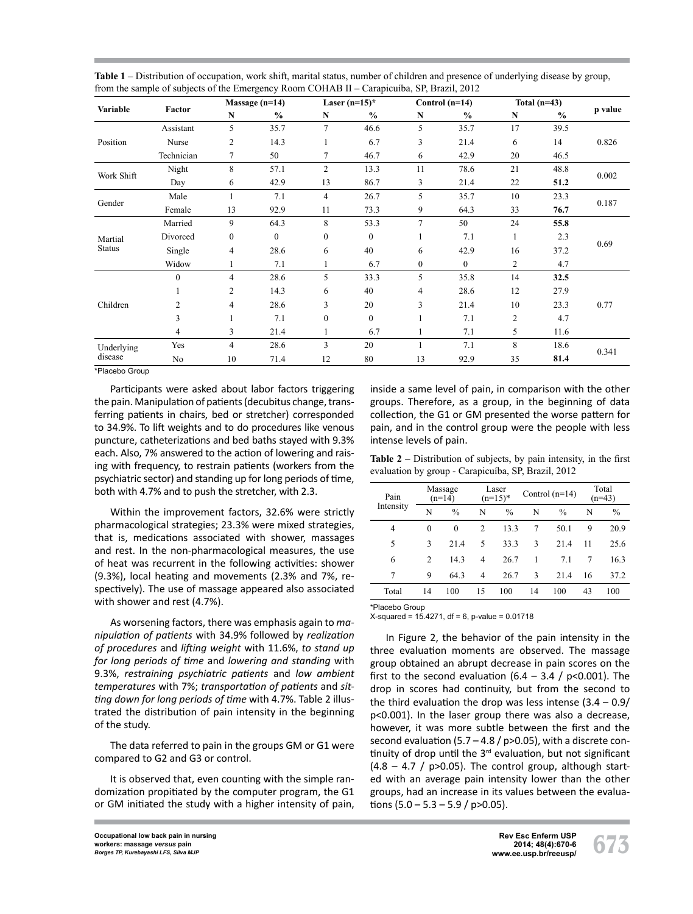| Variable                 | Factor         | Massage $(n=14)$ |               | Laser $(n=15)^*$ |              | Control $(n=14)$ |               | Total $(n=43)$ |               |         |
|--------------------------|----------------|------------------|---------------|------------------|--------------|------------------|---------------|----------------|---------------|---------|
|                          |                | N                | $\frac{0}{0}$ | N                | $\%$         | N                | $\frac{6}{6}$ | $\mathbf N$    | $\frac{0}{0}$ | p value |
| Position                 | Assistant      | 5                | 35.7          | $\tau$           | 46.6         | 5                | 35.7          | 17             | 39.5          |         |
|                          | Nurse          | 2                | 14.3          |                  | 6.7          | 3                | 21.4          | 6              | 14            | 0.826   |
|                          | Technician     | 7                | 50            | 7                | 46.7         | 6                | 42.9          | 20             | 46.5          |         |
| Work Shift               | Night          | 8                | 57.1          | $\overline{c}$   | 13.3         | 11               | 78.6          | 21             | 48.8          | 0.002   |
|                          | Day            | 6                | 42.9          | 13               | 86.7         | 3                | 21.4          | 22             | 51.2          |         |
| Gender                   | Male           |                  | 7.1           | $\overline{4}$   | 26.7         | 5                | 35.7          | 10             | 23.3          | 0.187   |
|                          | Female         | 13               | 92.9          | 11               | 73.3         | 9                | 64.3          | 33             | 76.7          |         |
| Martial<br><b>Status</b> | Married        | 9                | 64.3          | 8                | 53.3         | $\tau$           | 50            | 24             | 55.8          | 0.69    |
|                          | Divorced       | $\overline{0}$   | $\mathbf{0}$  | $\boldsymbol{0}$ | $\mathbf{0}$ |                  | 7.1           | 1              | 2.3           |         |
|                          | Single         | 4                | 28.6          | 6                | 40           | 6                | 42.9          | 16             | 37.2          |         |
|                          | Widow          |                  | 7.1           |                  | 6.7          | $\mathbf{0}$     | $\mathbf{0}$  | $\overline{2}$ | 4.7           |         |
| Children                 | $\theta$       | 4                | 28.6          | 5                | 33.3         | 5                | 35.8          | 14             | 32.5          | 0.77    |
|                          |                | 2                | 14.3          | 6                | 40           | 4                | 28.6          | 12             | 27.9          |         |
|                          | $\overline{c}$ | 4                | 28.6          | 3                | 20           | 3                | 21.4          | 10             | 23.3          |         |
|                          | 3              |                  | 7.1           | $\boldsymbol{0}$ | $\mathbf{0}$ |                  | 7.1           | $\overline{2}$ | 4.7           |         |
|                          | 4              | 3                | 21.4          |                  | 6.7          |                  | 7.1           | 5              | 11.6          |         |
| Underlying<br>disease    | Yes            | $\overline{4}$   | 28.6          | 3                | 20           |                  | 7.1           | 8              | 18.6          | 0.341   |
|                          | No             | 10               | 71.4          | 12               | 80           | 13               | 92.9          | 35             | 81.4          |         |

**Table 1** – Distribution of occupation, work shift, marital status, number of children and presence of underlying disease by group, from the sample of subjects of the Emergency Room COHAB II – Carapicuíba, SP, Brazil, 2012

\*Placebo Group

Participants were asked about labor factors triggering the pain. Manipulation of patients (decubitus change, transferring patients in chairs, bed or stretcher) corresponded to 34.9%. To lift weights and to do procedures like venous puncture, catheterizations and bed baths stayed with 9.3% each. Also, 7% answered to the action of lowering and raising with frequency, to restrain patients (workers from the psychiatric sector) and standing up for long periods of time, both with 4.7% and to push the stretcher, with 2.3.

Within the improvement factors, 32.6% were strictly pharmacological strategies; 23.3% were mixed strategies, that is, medications associated with shower, massages and rest. In the non-pharmacological measures, the use of heat was recurrent in the following activities: shower (9.3%), local heating and movements (2.3% and 7%, respectively). The use of massage appeared also associated with shower and rest (4.7%).

As worsening factors, there was emphasis again to *manipulation of patients* with 34.9% followed by *realization of procedures* and *lifting weight* with 11.6%, *to stand up for long periods of time* and *lowering and standing* with 9.3%, *restraining psychiatric patients* and *low ambient temperatures* with 7%; *transportation of patients* and *sitting down for long periods of time* with 4.7%. Table 2 illustrated the distribution of pain intensity in the beginning of the study.

The data referred to pain in the groups GM or G1 were compared to G2 and G3 or control.

It is observed that, even counting with the simple randomization propitiated by the computer program, the G1 or GM initiated the study with a higher intensity of pain, inside a same level of pain, in comparison with the other groups. Therefore, as a group, in the beginning of data collection, the G1 or GM presented the worse pattern for pain, and in the control group were the people with less intense levels of pain.

**Table 2 –** Distribution of subjects, by pain intensity, in the first evaluation by group - Carapicuíba, SP, Brazil, 2012

| Pain      | Massage<br>$(n=14)$           |               | Laser<br>$(n=15)^*$ |               |    | Control $(n=14)$ | Total<br>$(n=43)$ |               |
|-----------|-------------------------------|---------------|---------------------|---------------|----|------------------|-------------------|---------------|
| Intensity | N                             | $\frac{0}{0}$ | N                   | $\frac{0}{0}$ | N  | $\frac{0}{0}$    | N                 | $\frac{0}{0}$ |
| 4         | $\theta$                      | 0             | $\mathfrak{D}$      | 13.3          | 7  | 50.1             | 9                 | 20.9          |
| 5         | 3                             | 21.4          | 5                   | 33.3          | 3  | 21.4             | 11                | 25.6          |
| 6         | $\mathfrak{D}_{\mathfrak{p}}$ | 14.3          | 4                   | 26.7          |    | 7.1              | 7                 | 16.3          |
| 7         | 9                             | 64.3          | 4                   | 26.7          | 3  | 21.4             | 16                | 37.2          |
| Total     | 14                            | 100           | 15                  | 100           | 14 | 100              | 43                | 100           |
|           |                               |               |                     |               |    |                  |                   |               |

\*Placebo Group

 $X$ -squared = 15.4271, df = 6, p-value = 0.01718

In Figure 2, the behavior of the pain intensity in the three evaluation moments are observed. The massage group obtained an abrupt decrease in pain scores on the first to the second evaluation  $(6.4 - 3.4 / p < 0.001)$ . The drop in scores had continuity, but from the second to the third evaluation the drop was less intense  $(3.4 - 0.9)$ p<0.001). In the laser group there was also a decrease, however, it was more subtle between the first and the second evaluation (5.7 – 4.8 /  $p>0.05$ ), with a discrete continuity of drop until the 3<sup>rd</sup> evaluation, but not significant  $(4.8 - 4.7 / p > 0.05)$ . The control group, although started with an average pain intensity lower than the other groups, had an increase in its values between the evaluations  $(5.0 - 5.3 - 5.9 / p > 0.05)$ .

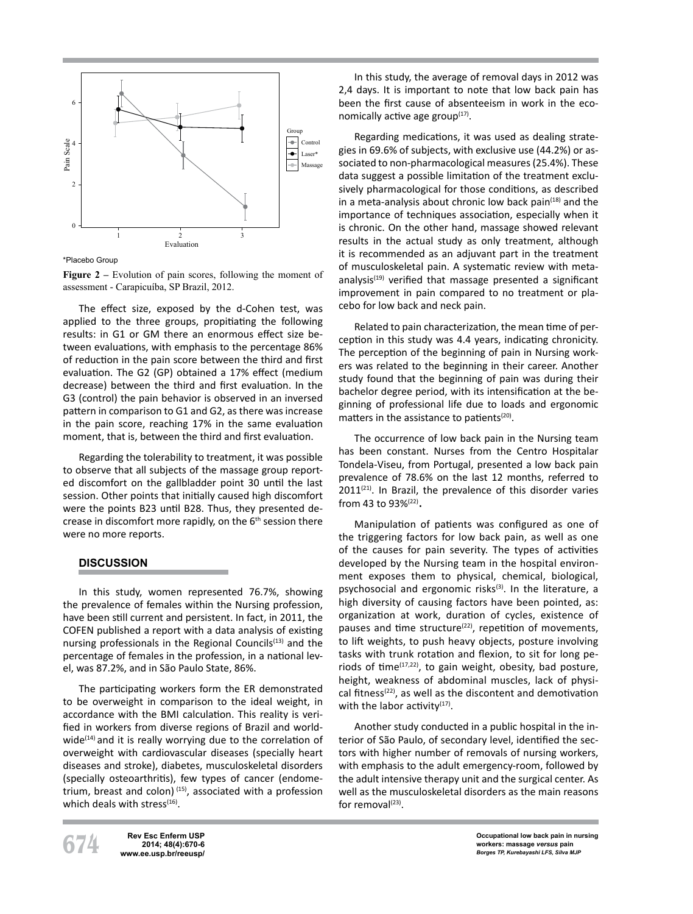

\*Placebo Group

Figure 2 – Evolution of pain scores, following the moment of assessment - Carapicuíba, SP Brazil, 2012.

The effect size, exposed by the d-Cohen test, was applied to the three groups, propitiating the following results: in G1 or GM there an enormous effect size between evaluations, with emphasis to the percentage 86% of reduction in the pain score between the third and first evaluation. The G2 (GP) obtained a 17% effect (medium decrease) between the third and first evaluation. In the G3 (control) the pain behavior is observed in an inversed pattern in comparison to G1 and G2, as there was increase in the pain score, reaching 17% in the same evaluation moment, that is, between the third and first evaluation.

Regarding the tolerability to treatment, it was possible to observe that all subjects of the massage group reported discomfort on the gallbladder point 30 until the last session. Other points that initially caused high discomfort were the points B23 until B28. Thus, they presented decrease in discomfort more rapidly, on the  $6<sup>th</sup>$  session there were no more reports.

## **DISCUSSION**

In this study, women represented 76.7%, showing the prevalence of females within the Nursing profession, have been still current and persistent. In fact, in 2011, the COFEN published a report with a data analysis of existing nursing professionals in the Regional Councils $(13)$  and the percentage of females in the profession, in a national level, was 87.2%, and in São Paulo State, 86%.

The participating workers form the ER demonstrated to be overweight in comparison to the ideal weight, in accordance with the BMI calculation. This reality is verified in workers from diverse regions of Brazil and worldwide $(14)$  and it is really worrying due to the correlation of overweight with cardiovascular diseases (specially heart diseases and stroke), diabetes, musculoskeletal disorders (specially osteoarthritis), few types of cancer (endometrium, breast and colon)  $(15)$ , associated with a profession which deals with stress $(16)$ .

In this study, the average of removal days in 2012 was 2,4 days. It is important to note that low back pain has been the first cause of absenteeism in work in the economically active age group $(17)$ .

Regarding medications, it was used as dealing strategies in 69.6% of subjects, with exclusive use (44.2%) or associated to non-pharmacological measures (25.4%). These data suggest a possible limitation of the treatment exclusively pharmacological for those conditions, as described in a meta-analysis about chronic low back pain $(18)$  and the importance of techniques association, especially when it is chronic. On the other hand, massage showed relevant results in the actual study as only treatment, although it is recommended as an adjuvant part in the treatment of musculoskeletal pain. A systematic review with metaanalysis $(19)$  verified that massage presented a significant improvement in pain compared to no treatment or placebo for low back and neck pain.

Related to pain characterization, the mean time of perception in this study was 4.4 years, indicating chronicity. The perception of the beginning of pain in Nursing workers was related to the beginning in their career. Another study found that the beginning of pain was during their bachelor degree period, with its intensification at the beginning of professional life due to loads and ergonomic matters in the assistance to patients<sup>(20)</sup>.

The occurrence of low back pain in the Nursing team has been constant. Nurses from the Centro Hospitalar Tondela-Viseu, from Portugal, presented a low back pain prevalence of 78.6% on the last 12 months, referred to  $2011^{(21)}$ . In Brazil, the prevalence of this disorder varies from 43 to 93%(22).

Manipulation of patients was configured as one of the triggering factors for low back pain, as well as one of the causes for pain severity. The types of activities developed by the Nursing team in the hospital environment exposes them to physical, chemical, biological, psychosocial and ergonomic risks<sup>(3)</sup>. In the literature, a high diversity of causing factors have been pointed, as: organization at work, duration of cycles, existence of pauses and time structure<sup>(22)</sup>, repetition of movements, to lift weights, to push heavy objects, posture involving tasks with trunk rotation and flexion, to sit for long periods of time $(17,22)$ , to gain weight, obesity, bad posture, height, weakness of abdominal muscles, lack of physical fitness(22), as well as the discontent and demotivation with the labor activity $(17)$ .

Another study conducted in a public hospital in the interior of São Paulo, of secondary level, identified the sectors with higher number of removals of nursing workers, with emphasis to the adult emergency-room, followed by the adult intensive therapy unit and the surgical center. As well as the musculoskeletal disorders as the main reasons for removal $^{(23)}$ .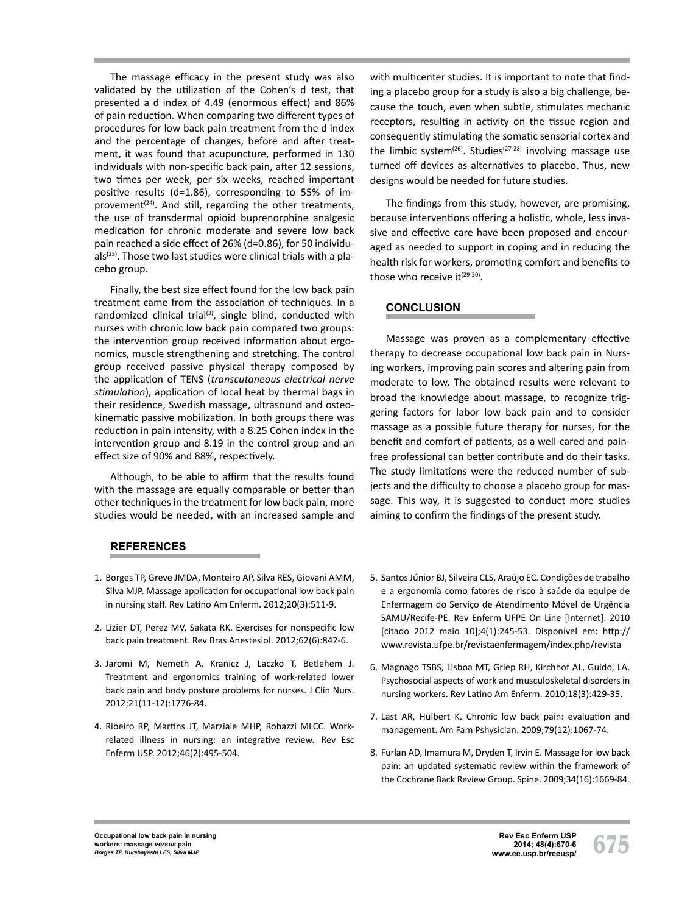The massage efficacy in the present study was also validated by the utilization of the Cohen's d test, that presented a d index of 4.49 (enormous effect) and 86% of pain reduction. When comparing two different types of procedures for low back pain treatment from the d index and the percentage of changes, before and after treatment, it was found that acupuncture, performed in 130 individuals with non-specific back pain, after 12 sessions, two times per week, per six weeks, reached important positive results (d=1.86), corresponding to 55% of improvement $(24)$ . And still, regarding the other treatments, the use of transdermal opioid buprenorphine analgesic medication for chronic moderate and severe low back pain reached a side effect of 26% (d=0.86), for 50 individu $als^{(25)}$ . Those two last studies were clinical trials with a placebo group.

Finally, the best size effect found for the low back pain treatment came from the association of techniques. In a randomized clinical trial<sup>(3)</sup>, single blind, conducted with nurses with chronic low back pain compared two groups: the intervention group received information about ergonomics, muscle strengthening and stretching. The control group received passive physical therapy composed by the application of TENS (*transcutaneous electrical nerve stimulation*), application of local heat by thermal bags in their residence, Swedish massage, ultrasound and osteokinematic passive mobilization. In both groups there was reduction in pain intensity, with a 8.25 Cohen index in the intervention group and 8.19 in the control group and an effect size of 90% and 88%, respectively.

Although, to be able to affirm that the results found with the massage are equally comparable or better than other techniques in the treatment for low back pain, more studies would be needed, with an increased sample and

**REFERENCES**

- 1. Borges TP, Greve JMDA, Monteiro AP, Silva RES, Giovani AMM, Silva MJP. Massage application for occupational low back pain in nursing staff. Rev Latino Am Enferm. 2012;20(3):511-9.
- 2. Lizier DT, Perez MV, Sakata RK. Exercises for nonspecific low back pain treatment. Rev Bras Anestesiol. 2012;62(6):842-6.
- 3. Jaromi M, Nemeth A, Kranicz J, Laczko T, Betlehem J. Treatment and ergonomics training of work-related lower back pain and body posture problems for nurses. J Clin Nurs. 2012;21(11-12):1776-84.
- 4. Ribeiro RP, Martins JT, Marziale MHP, Robazzi MLCC. Workrelated illness in nursing: an integrative review. Rev Esc Enferm USP. 2012;46(2):495-504.

with multicenter studies. It is important to note that finding a placebo group for a study is also a big challenge, because the touch, even when subtle, stimulates mechanic receptors, resulting in activity on the tissue region and consequently stimulating the somatic sensorial cortex and the limbic system<sup>(26)</sup>. Studies<sup>(27-28)</sup> involving massage use turned off devices as alternatives to placebo. Thus, new designs would be needed for future studies.

The findings from this study, however, are promising, because interventions offering a holistic, whole, less invasive and effective care have been proposed and encouraged as needed to support in coping and in reducing the health risk for workers, promoting comfort and benefits to those who receive it<sup>(29-30)</sup>.

# **CONCLUSION**

Massage was proven as a complementary effective therapy to decrease occupational low back pain in Nursing workers, improving pain scores and altering pain from moderate to low. The obtained results were relevant to broad the knowledge about massage, to recognize triggering factors for labor low back pain and to consider massage as a possible future therapy for nurses, for the benefit and comfort of patients, as a well-cared and painfree professional can better contribute and do their tasks. The study limitations were the reduced number of subjects and the difficulty to choose a placebo group for massage. This way, it is suggested to conduct more studies aiming to confirm the findings of the present study.

- 5. Santos Júnior BJ, Silveira CLS, Araújo EC. Condições de trabalho e a ergonomia como fatores de risco à saúde da equipe de Enfermagem do Serviço de Atendimento Móvel de Urgência SAMU/Recife-PE. Rev Enferm UFPE On Line [Internet]. 2010 [citado 2012 maio 10];4(1):245-53. Disponível em: http:// www.revista.ufpe.br/revistaenfermagem/index.php/revista
- 6. Magnago TSBS, Lisboa MT, Griep RH, Kirchhof AL, Guido, LA. Psychosocial aspects of work and musculoskeletal disorders in nursing workers. Rev Latino Am Enferm. 2010;18(3):429-35.
- 7. Last AR, Hulbert K. Chronic low back pain: evaluation and management. Am Fam Pshysician. 2009;79(12):1067-74.
- 8. Furlan AD, Imamura M, Dryden T, Irvin E. Massage for low back pain: an updated systematic review within the framework of the Cochrane Back Review Group. Spine. 2009;34(16):1669-84.